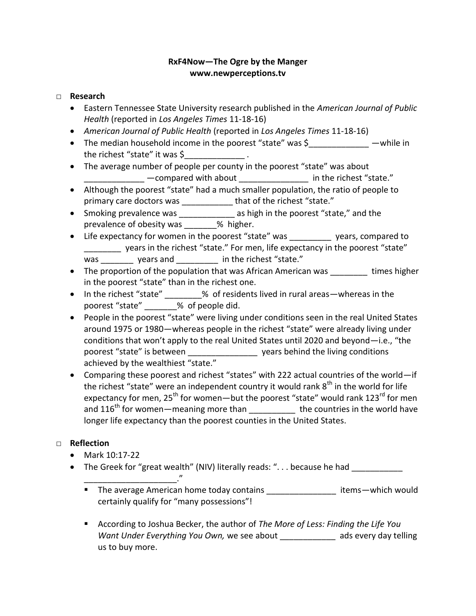## **RxF4Now—The Ogre by the Manger www.newperceptions.tv**

## □ **Research**

- Eastern Tennessee State University research published in the *American Journal of Public Health* (reported in *Los Angeles Times* 11-18-16)
- *American Journal of Public Health* (reported in *Los Angeles Times* 11-18-16)
- The median household income in the poorest "state" was \$ while in the richest "state" it was \$
- The average number of people per county in the poorest "state" was about \_\_\_\_\_\_\_\_\_\_\_\_\_ —compared with about \_\_\_\_\_\_\_\_\_\_\_\_\_\_\_ in the richest "state."
- Although the poorest "state" had a much smaller population, the ratio of people to primary care doctors was **that of the richest "state."**
- Smoking prevalence was \_\_\_\_\_\_\_\_\_\_\_\_\_\_ as high in the poorest "state," and the prevalence of obesity was 30 % higher.
- Life expectancy for women in the poorest "state" was years, compared to \_\_\_\_\_\_\_ years in the richest "state." For men, life expectancy in the poorest "state" was \_\_\_\_\_\_\_\_ years and \_\_\_\_\_\_\_\_\_\_ in the richest "state."
- The proportion of the population that was African American was \_\_\_\_\_\_\_\_ times higher in the poorest "state" than in the richest one.
- In the richest "state" \_\_\_\_\_\_\_\_% of residents lived in rural areas—whereas in the poorest "state" \_\_\_\_\_\_\_% of people did.
- People in the poorest "state" were living under conditions seen in the real United States around 1975 or 1980—whereas people in the richest "state" were already living under conditions that won't apply to the real United States until 2020 and beyond—i.e., "the poorest "state" is between poorest "state" is between poorest and the living conditions achieved by the wealthiest "state."
- Comparing these poorest and richest "states" with 222 actual countries of the world—if the richest "state" were an independent country it would rank  $8<sup>th</sup>$  in the world for life expectancy for men, 25<sup>th</sup> for women—but the poorest "state" would rank 123<sup>rd</sup> for men and  $116^{th}$  for women—meaning more than \_\_\_\_\_\_\_\_\_\_\_ the countries in the world have longer life expectancy than the poorest counties in the United States.

## □ **Reflection**

Mark 10:17-22

 $\mathcal{L}_\text{max}$  and  $\mathcal{L}_\text{max}$  and  $\mathcal{L}_\text{max}$ 

- The Greek for "great wealth" (NIV) literally reads: "... because he had
	- The average American home today contains \_\_\_\_\_\_\_\_\_\_\_\_\_\_\_\_\_ items-which would certainly qualify for "many possessions"!
	- According to Joshua Becker, the author of *The More of Less: Finding the Life You Want Under Everything You Own,* we see about **the ads every day telling** us to buy more.